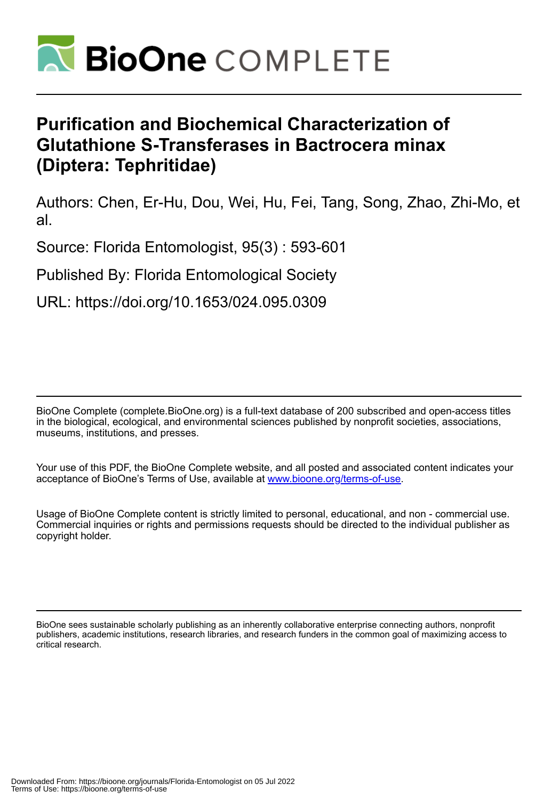

# **Purification and Biochemical Characterization of Glutathione S-Transferases in Bactrocera minax (Diptera: Tephritidae)**

Authors: Chen, Er-Hu, Dou, Wei, Hu, Fei, Tang, Song, Zhao, Zhi-Mo, et al.

Source: Florida Entomologist, 95(3) : 593-601

Published By: Florida Entomological Society

URL: https://doi.org/10.1653/024.095.0309

BioOne Complete (complete.BioOne.org) is a full-text database of 200 subscribed and open-access titles in the biological, ecological, and environmental sciences published by nonprofit societies, associations, museums, institutions, and presses.

Your use of this PDF, the BioOne Complete website, and all posted and associated content indicates your acceptance of BioOne's Terms of Use, available at www.bioone.org/terms-of-use.

Usage of BioOne Complete content is strictly limited to personal, educational, and non - commercial use. Commercial inquiries or rights and permissions requests should be directed to the individual publisher as copyright holder.

BioOne sees sustainable scholarly publishing as an inherently collaborative enterprise connecting authors, nonprofit publishers, academic institutions, research libraries, and research funders in the common goal of maximizing access to critical research.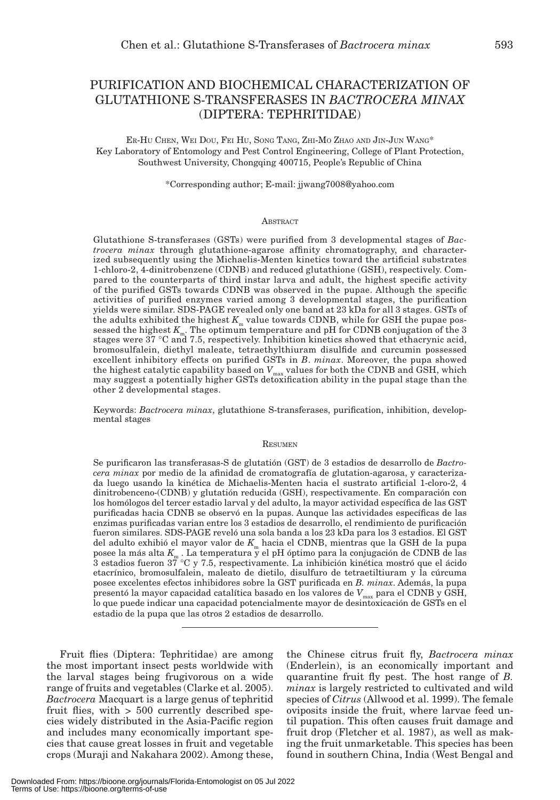# PURIFICATION AND BIOCHEMICAL CHARACTERIZATION OF GLUTATHIONE S-TRANSFERASES IN *BACTROCERA MINAX*  (DIPTERA: TEPHRITIDAE)

ER-HU CHEN, WEI DOU, FEI HU, SONG TANG, ZHI-MO ZHAO AND JIN-JUN WANG\* Key Laboratory of Entomology and Pest Control Engineering, College of Plant Protection, Southwest University, Chongqing 400715, People's Republic of China

\*Corresponding author; E-mail: jjwang7008@yahoo.com

#### **ABSTRACT**

Glutathione S-transferases (GSTs) were purified from 3 developmental stages of *Bactrocera minax* through glutathione-agarose affinity chromatography, and characterized subsequently using the Michaelis-Menten kinetics toward the artificial substrates 1-chloro-2, 4-dinitrobenzene (CDNB) and reduced glutathione (GSH), respectively. Compared to the counterparts of third instar larva and adult, the highest specific activity of the purified GSTs towards CDNB was observed in the pupae. Although the specific activities of purified enzymes varied among 3 developmental stages, the purification yields were similar. SDS-PAGE revealed only one band at 23 kDa for all 3 stages. GSTs of the adults exhibited the highest  $K_{\text{m}}$  value towards CDNB, while for GSH the pupae possessed the highest  $K_{m}$ . The optimum temperature and pH for CDNB conjugation of the 3 stages were 37 °C and 7.5, respectively. Inhibition kinetics showed that ethacrynic acid, bromosulfalein, diethyl maleate, tetraethylthiuram disulfide and curcumin possessed excellent inhibitory effects on purified GSTs in *B*. *minax*. Moreover, the pupa showed the highest catalytic capability based on  $V_{\text{max}}$  values for both the CDNB and GSH, which may suggest a potentially higher GSTs detoxification ability in the pupal stage than the other 2 developmental stages.

Keywords: *Bactrocera minax*, glutathione S-transferases, purification, inhibition, developmental stages

#### **RESUMEN**

Se purificaron las transferasas-S de glutatión (GST) de 3 estadios de desarrollo de *Bactrocera minax* por medio de la afinidad de cromatografía de glutation-agarosa, y caracterizada luego usando la kinética de Michaelis-Menten hacia el sustrato artificial 1-cloro-2, 4 dinitrobenceno-(CDNB) y glutatión reducida (GSH), respectivamente. En comparación con los homólogos del tercer estadio larval y del adulto, la mayor actividad específica de las GST purificadas hacia CDNB se observó en la pupas. Aunque las actividades específicas de las enzimas purificadas varian entre los 3 estadios de desarrollo, el rendimiento de purificación fueron similares. SDS-PAGE reveló una sola banda a los 23 kDa para los 3 estadios. El GST del adulto exhibió el mayor valor de *K*m hacia el CDNB, mientras que la GSH de la pupa posee la más alta *K*<sub>m</sub> . La temperatura y el pH óptimo para la conjugación de CDNB de las<br>3 estadios fueron 37 °C y 7.5, respectivamente. La inhibición kinética mostró que el ácido etacrínico, bromosulfalein, maleato de dietilo, disulfuro de tetraetiltiuram y la cúrcuma posee excelentes efectos inhibidores sobre la GST purificada en *B. minax*. Además, la pupa presentó la mayor capacidad catalítica basado en los valores de  $V_{\text{max}}$  para el CDNB y GSH, lo que puede indicar una capacidad potencialmente mayor de desintoxicación de GSTs en el estadio de la pupa que las otros 2 estadios de desarrollo.

Fruit flies (Diptera: Tephritidae) are among the most important insect pests worldwide with the larval stages being frugivorous on a wide range of fruits and vegetables (Clarke et al. 2005). *Bactrocera* Macquart is a large genus of tephritid fruit flies, with > 500 currently described species widely distributed in the Asia-Pacific region and includes many economically important species that cause great losses in fruit and vegetable crops (Muraji and Nakahara 2002). Among these,

the Chinese citrus fruit fly, *Bactrocera minax*  (Enderlein), is an economically important and quarantine fruit fly pest. The host range of *B. minax* is largely restricted to cultivated and wild species of *Citrus* (Allwood et al. 1999). The female oviposits inside the fruit, where larvae feed until pupation. This often causes fruit damage and fruit drop (Fletcher et al. 1987), as well as making the fruit unmarketable. This species has been found in southern China, India (West Bengal and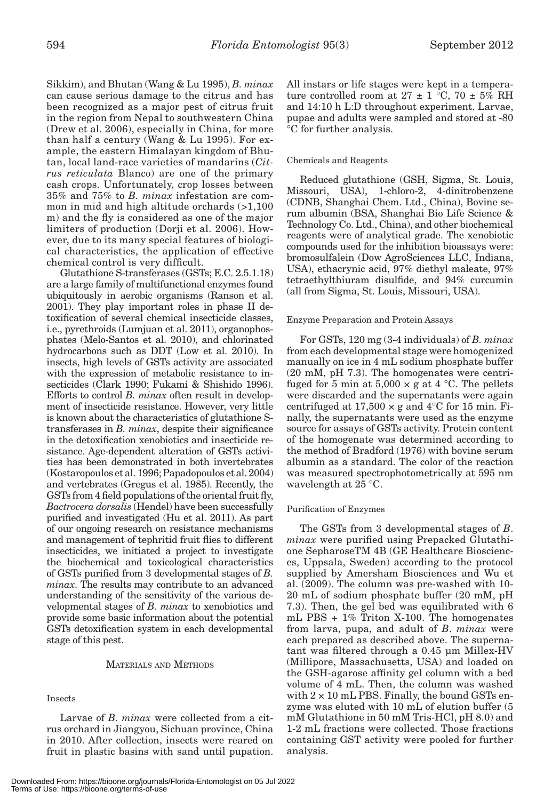Sikkim), and Bhutan (Wang & Lu 1995), *B. minax* can cause serious damage to the citrus and has been recognized as a major pest of citrus fruit in the region from Nepal to southwestern China (Drew et al. 2006), especially in China, for more than half a century (Wang & Lu 1995). For example, the eastern Himalayan kingdom of Bhutan, local land-race varieties of mandarins (*Citrus reticulata* Blanco) are one of the primary cash crops. Unfortunately, crop losses between 35% and 75% to *B. minax* infestation are common in mid and high altitude orchards (>1,100 m) and the fly is considered as one of the major limiters of production (Dorji et al. 2006). However, due to its many special features of biological characteristics, the application of effective chemical control is very difficult.

Glutathione S-transferases (GSTs; E.C. 2.5.1.18) are a large family of multifunctional enzymes found ubiquitously in aerobic organisms (Ranson et al. 2001). They play important roles in phase II detoxification of several chemical insecticide classes, i.e., pyrethroids (Lumjuan et al. 2011), organophosphates (Melo-Santos et al. 2010), and chlorinated hydrocarbons such as DDT (Low et al. 2010). In insects, high levels of GSTs activity are associated with the expression of metabolic resistance to insecticides (Clark 1990; Fukami & Shishido 1996). Efforts to control *B. minax* often result in development of insecticide resistance. However, very little is known about the characteristics of glutathione Stransferases in *B. minax*, despite their significance in the detoxification xenobiotics and insecticide resistance. Age-dependent alteration of GSTs activities has been demonstrated in both invertebrates (Kostaropoulos et al. 1996; Papadopoulos et al. 2004) and vertebrates (Gregus et al. 1985). Recently, the GSTs from 4 field populations of the oriental fruit fly, *Bactrocera dorsalis* (Hendel) have been successfully purified and investigated (Hu et al. 2011). As part of our ongoing research on resistance mechanisms and management of tephritid fruit flies to different insecticides, we initiated a project to investigate the biochemical and toxicological characteristics of GSTs purified from 3 developmental stages of *B. minax*. The results may contribute to an advanced understanding of the sensitivity of the various developmental stages of *B*. *minax* to xenobiotics and provide some basic information about the potential GSTs detoxification system in each developmental stage of this pest.

# MATERIALS AND METHODS

#### Insects

Larvae of *B. minax* were collected from a citrus orchard in Jiangyou, Sichuan province, China in 2010. After collection, insects were reared on fruit in plastic basins with sand until pupation. All instars or life stages were kept in a temperature controlled room at  $27 \pm 1$  °C, 70  $\pm$  5% RH and 14:10 h L:D throughout experiment. Larvae, pupae and adults were sampled and stored at -80 °C for further analysis.

#### Chemicals and Reagents

Reduced glutathione (GSH, Sigma, St. Louis, Missouri, USA), 1-chloro-2, 4-dinitrobenzene (CDNB, Shanghai Chem. Ltd., China), Bovine serum albumin (BSA, Shanghai Bio Life Science & Technology Co. Ltd., China), and other biochemical reagents were of analytical grade. The xenobiotic compounds used for the inhibition bioassays were: bromosulfalein (Dow AgroSciences LLC, Indiana, USA), ethacrynic acid, 97% diethyl maleate, 97% tetraethylthiuram disulfide, and 94% curcumin (all from Sigma, St. Louis, Missouri, USA).

#### Enzyme Preparation and Protein Assays

For GSTs, 120 mg (3-4 individuals) of *B. minax* from each developmental stage were homogenized manually on ice in 4 mL sodium phosphate buffer (20 mM, pH 7.3). The homogenates were centrifuged for 5 min at  $5,000 \times g$  at 4 °C. The pellets were discarded and the supernatants were again centrifuged at  $17,500 \times g$  and  $4^{\circ}$ C for 15 min. Finally, the supernatants were used as the enzyme source for assays of GSTs activity. Protein content of the homogenate was determined according to the method of Bradford (1976) with bovine serum albumin as a standard. The color of the reaction was measured spectrophotometrically at 595 nm wavelength at 25 °C.

#### Purification of Enzymes

The GSTs from 3 developmental stages of *B*. *minax* were purified using Prepacked Glutathione SepharoseTM 4B (GE Healthcare Biosciences, Uppsala, Sweden) according to the protocol supplied by Amersham Biosciences and Wu et al. (2009). The column was pre-washed with 10- 20 mL of sodium phosphate buffer (20 mM, pH 7.3). Then, the gel bed was equilibrated with 6 mL PBS + 1% Triton X-100. The homogenates from larva, pupa, and adult of *B*. *minax* were each prepared as described above. The supernatant was filtered through a 0.45 μm Millex-HV (Millipore, Massachusetts, USA) and loaded on the GSH-agarose affinity gel column with a bed volume of 4 mL. Then, the column was washed with  $2 \times 10$  mL PBS. Finally, the bound GSTs enzyme was eluted with 10 mL of elution buffer (5 mM Glutathione in 50 mM Tris-HCl, pH 8.0) and 1-2 mL fractions were collected. Those fractions containing GST activity were pooled for further analysis.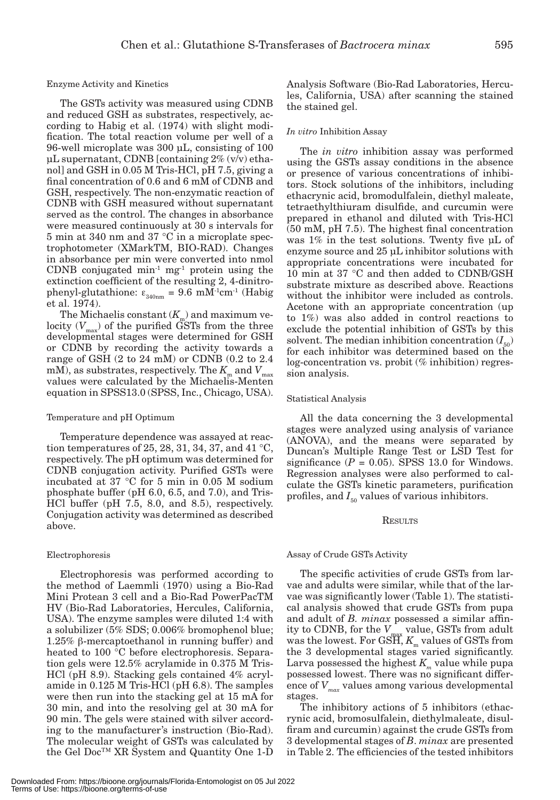#### Enzyme Activity and Kinetics

The GSTs activity was measured using CDNB and reduced GSH as substrates, respectively, according to Habig et al. (1974) with slight modification. The total reaction volume per well of a 96-well microplate was 300 μL, consisting of 100 μL supernatant, CDNB [containing  $2\%$  (v/v) ethanol] and GSH in 0.05 M Tris-HCl, pH 7.5, giving a final concentration of 0.6 and 6 mM of CDNB and GSH, respectively. The non-enzymatic reaction of CDNB with GSH measured without supernatant served as the control. The changes in absorbance were measured continuously at 30 s intervals for 5 min at 340 nm and 37 °C in a microplate spectrophotometer (XMarkTM, BIO-RAD). Changes in absorbance per min were converted into nmol CDNB conjugated min-1 mg-1 protein using the extinction coefficient of the resulting 2, 4-dinitrophenyl-glutathione:  $\varepsilon_{\text{340nm}} = 9.6 \text{ mM}^{\text{-1}} \text{cm}^{\text{-1}}$  (Habig et al. 1974).

The Michaelis constant  $(K_m)$  and maximum velocity  $(V_{\text{max}})$  of the purified GSTs from the three developmental stages were determined for GSH or CDNB by recording the activity towards a range of GSH (2 to 24 mM) or CDNB (0.2 to 2.4 mM), as substrates, respectively. The  $K_{\text{m}}$  and  $V_{\text{max}}$ values were calculated by the Michaelis-Menten equation in SPSS13.0 (SPSS, Inc., Chicago, USA).

#### Temperature and pH Optimum

Temperature dependence was assayed at reaction temperatures of 25, 28, 31, 34, 37, and 41  $^{\circ}$ C, respectively. The pH optimum was determined for CDNB conjugation activity. Purified GSTs were incubated at 37 °C for 5 min in 0.05 M sodium phosphate buffer (pH 6.0, 6.5, and 7.0), and Tris-HCl buffer (pH 7.5, 8.0, and 8.5), respectively. Conjugation activity was determined as described above.

### Electrophoresis

Electrophoresis was performed according to the method of Laemmli (1970) using a Bio-Rad Mini Protean 3 cell and a Bio-Rad PowerPacTM HV (Bio-Rad Laboratories, Hercules, California, USA). The enzyme samples were diluted 1:4 with a solubilizer (5% SDS; 0.006% bromophenol blue;  $1.25\%$   $\beta$ -mercaptoethanol in running buffer) and heated to 100 °C before electrophoresis. Separation gels were 12.5% acrylamide in 0.375 M Tris-HCl (pH 8.9). Stacking gels contained 4% acrylamide in 0.125 M Tris-HCl (pH 6.8). The samples were then run into the stacking gel at 15 mA for 30 min, and into the resolving gel at 30 mA for 90 min. The gels were stained with silver according to the manufacturer's instruction (Bio-Rad). The molecular weight of GSTs was calculated by the Gel Doc™ XR System and Quantity One 1-D Analysis Software (Bio-Rad Laboratories, Hercules, California, USA) after scanning the stained the stained gel.

#### *In vitro* Inhibition Assay

The *in vitro* inhibition assay was performed using the GSTs assay conditions in the absence or presence of various concentrations of inhibitors. Stock solutions of the inhibitors, including ethacrynic acid, bromodulfalein, diethyl maleate, tetraethylthiuram disulfide, and curcumin were prepared in ethanol and diluted with Tris-HCl (50 mM, pH 7.5). The highest final concentration was 1% in the test solutions. Twenty five μL of enzyme source and 25 μL inhibitor solutions with appropriate concentrations were incubated for 10 min at 37 °C and then added to CDNB/GSH substrate mixture as described above. Reactions without the inhibitor were included as controls. Acetone with an appropriate concentration (up to 1%) was also added in control reactions to exclude the potential inhibition of GSTs by this solvent. The median inhibition concentration  $(I_{50})$ for each inhibitor was determined based on the log-concentration vs. probit (% inhibition) regression analysis.

#### Statistical Analysis

All the data concerning the 3 developmental stages were analyzed using analysis of variance (ANOVA), and the means were separated by Duncan's Multiple Range Test or LSD Test for significance  $(P = 0.05)$ . SPSS 13.0 for Windows. Regression analyses were also performed to calculate the GSTs kinetic parameters, purification profiles, and  $I_{50}$  values of various inhibitors.

## **RESULTS**

#### Assay of Crude GSTs Activity

The specific activities of crude GSTs from larvae and adults were similar, while that of the larvae was significantly lower (Table 1). The statistical analysis showed that crude GSTs from pupa and adult of *B. minax* possessed a similar affinity to CDNB, for the *V*max value, GSTs from adult was the lowest. For GSH,  $K_{\text{m}}$  values of GSTs from the 3 developmental stages varied significantly. Larva possessed the highest  $K<sub>m</sub>$  value while pupa possessed lowest. There was no significant difference of *Vmax* values among various developmental stages.

The inhibitory actions of 5 inhibitors (ethacrynic acid, bromosulfalein, diethylmaleate, disulfiram and curcumin) against the crude GSTs from 3 developmental stages of *B*. *minax* are presented in Table 2. The efficiencies of the tested inhibitors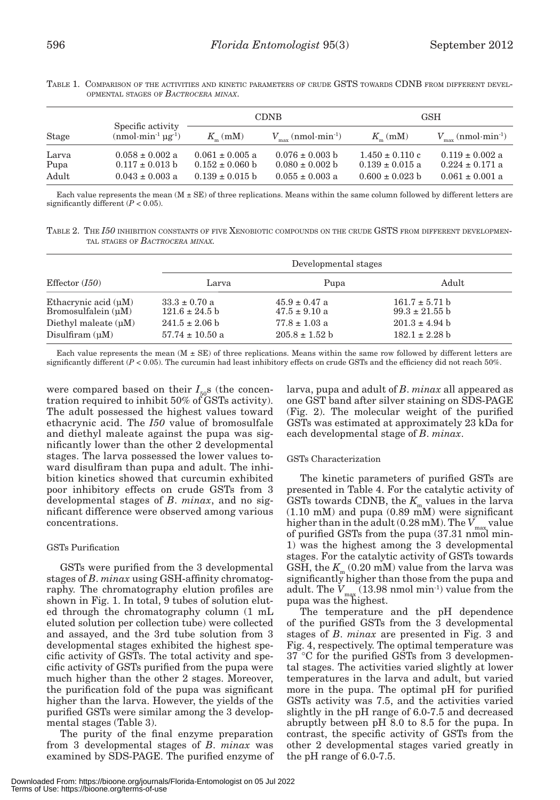| ֡֡֡֡֡֡֡<br>۰.<br>× |  |  |
|--------------------|--|--|
|                    |  |  |

|               |                                            | <b>CDNB</b><br><b>GSH</b>                  |                                            |                                            |                                            |
|---------------|--------------------------------------------|--------------------------------------------|--------------------------------------------|--------------------------------------------|--------------------------------------------|
| Stage         | Specific activity<br>$(nmol·min-1 ugr-1)$  | $K_{\perp}$ (mM)                           | $(nmol·min-1)$                             | $K_{\perp}$ (mM)                           | $(mmol·min-1)$                             |
| Larva<br>Pupa | $0.058 \pm 0.002$ a<br>$0.117 \pm 0.013$ b | $0.061 \pm 0.005$ a<br>$0.152 \pm 0.060$ b | $0.076 \pm 0.003$ b<br>$0.080 \pm 0.002$ b | $1.450 \pm 0.110$ c<br>$0.139 \pm 0.015$ a | $0.119 \pm 0.002$ a<br>$0.224 \pm 0.171$ a |
| Adult         | $0.043 \pm 0.003$ a                        | $0.139 \pm 0.015$ b                        | $0.055 \pm 0.003$ a                        | $0.600 \pm 0.023$ b                        | $0.061 \pm 0.001$ a                        |

TABLE 1. COMPARISON OF THE ACTIVITIES AND KINETIC PARAMETERS OF CRUDE GSTS TOWARDS CDNB FROM DIFFERENT DEVEL-OPMENTAL STAGES OF *BACTROCERA MINAX*.

Each value represents the mean  $(M \pm SE)$  of three replications. Means within the same column followed by different letters are significantly different (*P* < 0.05).

TABLE 2. THE *I50* INHIBITION CONSTANTS OF FIVE XENOBIOTIC COMPOUNDS ON THE CRUDE GSTS FROM DIFFERENT DEVELOPMEN-TAL STAGES OF *BACTROCERA MINAX.*

|                           | Developmental stages       |                    |                    |  |
|---------------------------|----------------------------|--------------------|--------------------|--|
| Effector $(I50)$          | Larva                      | Pupa               | Adult              |  |
| Ethacrynic acid $(\mu M)$ | $33.3 \pm 0.70$ a          | $45.9 \pm 0.47$ a  | $161.7 \pm 5.71$ b |  |
| Bromosulfalein $(uM)$     | $121.6 \pm 24.5$ b         | $47.5 \pm 9.10$ a  | $99.3 \pm 21.55$ b |  |
| Diethyl maleate $(uM)$    | $241.5 \pm 2.06 \text{ h}$ | $77.8 \pm 1.03$ a  | $201.3 \pm 4.94$ b |  |
| Disulfiram $(uM)$         | $57.74 \pm 10.50$ a        | $205.8 \pm 1.52$ b | $182.1 \pm 2.28$ b |  |

Each value represents the mean  $(M \pm SE)$  of three replications. Means within the same row followed by different letters are significantly different (*P* < 0.05). The curcumin had least inhibitory effects on crude GSTs and the efficiency did not reach 50%.

were compared based on their  $I_{50}$ s (the concentration required to inhibit 50% of GSTs activity). The adult possessed the highest values toward ethacrynic acid. The *I50* value of bromosulfale and diethyl maleate against the pupa was significantly lower than the other 2 developmental stages. The larva possessed the lower values toward disulfiram than pupa and adult. The inhibition kinetics showed that curcumin exhibited poor inhibitory effects on crude GSTs from 3 developmental stages of *B*. *minax*, and no significant difference were observed among various concentrations.

# GSTs Purification

GSTs were purified from the 3 developmental stages of *B*. *minax* using GSH-affinity chromatography. The chromatography elution profiles are shown in Fig. 1. In total, 9 tubes of solution eluted through the chromatography column (1 mL eluted solution per collection tube) were collected and assayed, and the 3rd tube solution from 3 developmental stages exhibited the highest specific activity of GSTs. The total activity and specific activity of GSTs purified from the pupa were much higher than the other 2 stages. Moreover, the purification fold of the pupa was significant higher than the larva. However, the yields of the purified GSTs were similar among the 3 developmental stages (Table 3).

The purity of the final enzyme preparation from 3 developmental stages of *B*. *minax* was examined by SDS-PAGE. The purified enzyme of larva, pupa and adult of *B*. *minax* all appeared as one GST band after silver staining on SDS-PAGE (Fig. 2). The molecular weight of the purified GSTs was estimated at approximately 23 kDa for each developmental stage of *B*. *minax*.

# GSTs Characterization

The kinetic parameters of purified GSTs are presented in Table 4. For the catalytic activity of GSTs towards CDNB, the  $K_{\text{m}}$  values in the larva (1.10 mM) and pupa (0.89 mM) were significant higher than in the adult  $(0.28 \text{ mM})$ . The  $V_{\text{max}}$  value of purified GSTs from the pupa (37.31 nmol min-1) was the highest among the 3 developmental stages. For the catalytic activity of GSTs towards GSH, the  $K_m$  (0.20 mM) value from the larva was significantly higher than those from the pupa and adult. The V<sub>max</sub> (13.98 nmol min<sup>-1</sup>) value from the<br>pupa was the highest.

The temperature and the pH dependence of the purified GSTs from the 3 developmental stages of *B*. *minax* are presented in Fig. 3 and Fig. 4, respectively. The optimal temperature was 37 °C for the purified GSTs from 3 developmental stages. The activities varied slightly at lower temperatures in the larva and adult, but varied more in the pupa. The optimal pH for purified GSTs activity was 7.5, and the activities varied slightly in the pH range of 6.0-7.5 and decreased abruptly between pH 8.0 to 8.5 for the pupa. In contrast, the specific activity of GSTs from the other 2 developmental stages varied greatly in the pH range of 6.0-7.5.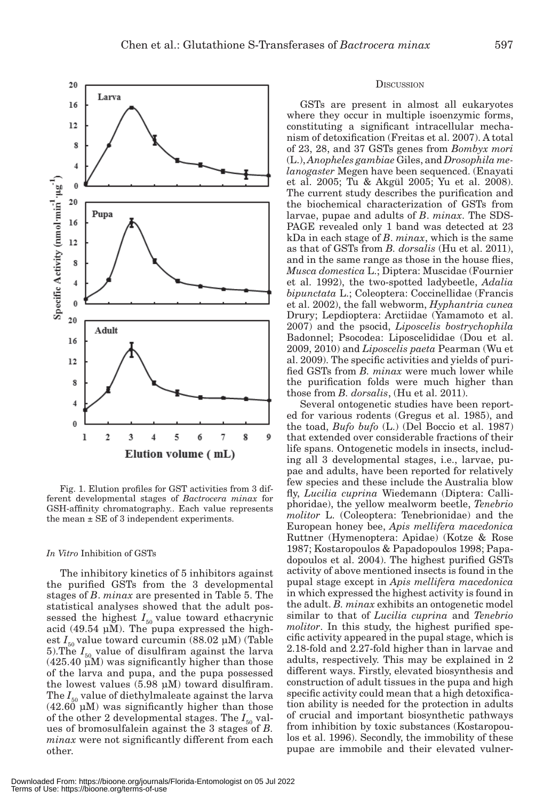

Fig. 1. Elution profiles for GST activities from 3 different developmental stages of *Bactrocera minax* for GSH-affinity chromatography.. Each value represents the mean  $\pm$  SE of 3 independent experiments.

4

5

Elution volume (mL)

б

7

8

9

#### *In Vitro* Inhibition of GSTs

 $\overline{2}$ 

3

20

 $\bf{0}$  $20$ 

16 12 8  $\overline{4}$  $\bf{0}$  $\mathbf{I}$ 

Specific Activity (rmol  $\min^{-1} \cdot \mu g^{-1}$ )

The inhibitory kinetics of 5 inhibitors against the purified GSTs from the 3 developmental stages of *B*. *minax* are presented in Table 5. The statistical analyses showed that the adult possessed the highest  $I_{50}$  value toward ethacrynic acid (49.54  $\mu$ M). The pupa expressed the highest  $I_{50}$  value toward curcumin (88.02  $\mu$ M) (Table 5). The  $I_{50}$  value of disulfiram against the larva  $(425.40 \,\mu\text{M})$  was significantly higher than those of the larva and pupa, and the pupa possessed the lowest values (5.98 μM) toward disulfiram. The  $I_{50}$  value of diethylmaleate against the larva  $(42.60 \mu M)$  was significantly higher than those of the other 2 developmental stages. The  $I_{50}$  values of bromosulfalein against the 3 stages of *B. minax* were not significantly different from each other.

#### **DISCUSSION**

GSTs are present in almost all eukaryotes where they occur in multiple isoenzymic forms, constituting a significant intracellular mechanism of detoxification (Freitas et al. 2007). A total of 23, 28, and 37 GSTs genes from *Bombyx mori* (L.), *Anopheles gambiae* Giles, and *Drosophila melanogaster* Megen have been sequenced. (Enayati et al. 2005; Tu & Akgül 2005; Yu et al. 2008). The current study describes the purification and the biochemical characterization of GSTs from larvae, pupae and adults of *B*. *minax*. The SDS-PAGE revealed only 1 band was detected at 23 kDa in each stage of *B*. *minax*, which is the same as that of GSTs from *B. dorsalis* (Hu et al. 2011), and in the same range as those in the house flies, *Musca domestica* L.; Diptera: Muscidae (Fournier et al. 1992), the two-spotted ladybeetle, *Adalia bipunctata* L.; Coleoptera: Coccinellidae (Francis et al. 2002), the fall webworm, *Hyphantria cunea* Drury; Lepdioptera: Arctiidae (Yamamoto et al. 2007) and the psocid, *Liposcelis bostrychophila*  Badonnel; Psocodea: Liposcelididae (Dou et al. 2009, 2010) and *Liposcelis paeta* Pearman (Wu et al. 2009). The specific activities and yields of purified GSTs from *B. minax* were much lower while the purification folds were much higher than those from *B. dorsalis*, (Hu et al. 2011).

Several ontogenetic studies have been reported for various rodents (Gregus et al. 1985), and the toad, *Bufo bufo* (L.) (Del Boccio et al. 1987) that extended over considerable fractions of their life spans. Ontogenetic models in insects, including all 3 developmental stages, i.e., larvae, pupae and adults, have been reported for relatively few species and these include the Australia blow fly, *Lucilia cuprina* Wiedemann (Diptera: Calliphoridae), the yellow mealworm beetle, *Tenebrio molitor* L. (Coleoptera: Tenebrionidae) and the European honey bee, *Apis mellifera macedonica* Ruttner (Hymenoptera: Apidae) (Kotze & Rose 1987; Kostaropoulos & Papadopoulos 1998; Papadopoulos et al. 2004). The highest purified GSTs activity of above mentioned insects is found in the pupal stage except in *Apis mellifera macedonica*  in which expressed the highest activity is found in the adult. *B. minax* exhibits an ontogenetic model similar to that of *Lucilia cuprina* and *Tenebrio molitor*. In this study, the highest purified specific activity appeared in the pupal stage, which is 2.18-fold and 2.27-fold higher than in larvae and adults, respectively. This may be explained in 2 different ways. Firstly, elevated biosynthesis and construction of adult tissues in the pupa and high specific activity could mean that a high detoxification ability is needed for the protection in adults of crucial and important biosynthetic pathways from inhibition by toxic substances (Kostaropoulos et al. 1996). Secondly, the immobility of these pupae are immobile and their elevated vulner-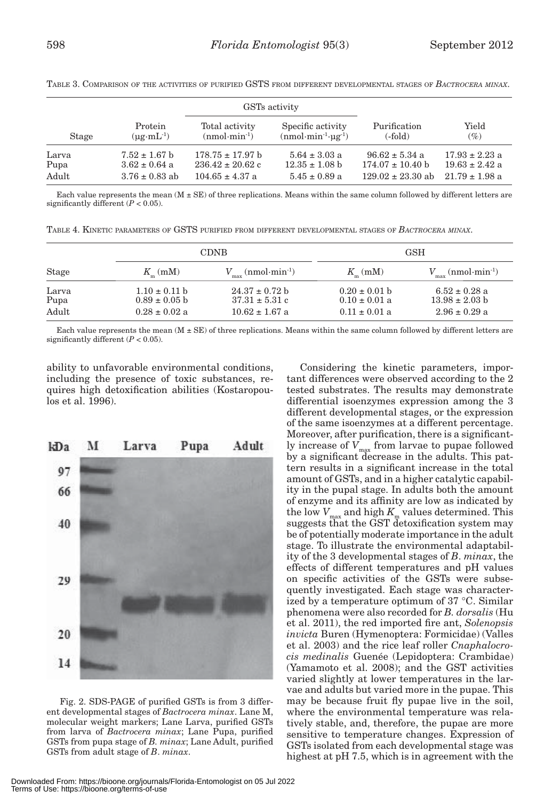|       |                                                     |                      | GSTs activity       |                       |                    |
|-------|-----------------------------------------------------|----------------------|---------------------|-----------------------|--------------------|
| Stage | Protein                                             | Total activity       | Specific activity   | Purification          | Yield              |
|       | $(\mu \mathrm{g} \cdot \mathrm{m} \mathrm{L}^{-1})$ | $(nmol·min-1)$       | $(nmol·min-1·ug-1)$ | $(-fold)$             | (%)                |
| Larva | $7.52 \pm 1.67$ b                                   | $178.75 \pm 17.97$ b | $5.64 \pm 3.03$ a   | $96.62 \pm 5.34$ a    | $17.93 \pm 2.23$ a |
| Pupa  | $3.62 \pm 0.64$ a                                   | $236.42 \pm 20.62$ c | $12.35 \pm 1.08$ b  | $174.07 \pm 10.40$ b  | $19.63 \pm 2.42$ a |
| Adult | $3.76 \pm 0.83$ ab                                  | $104.65 \pm 4.37$ a  | $5.45 \pm 0.89$ a   | $129.02 \pm 23.30$ ab | $21.79 + 1.98$ a   |

TABLE 3. COMPARISON OF THE ACTIVITIES OF PURIFIED GSTS FROM DIFFERENT DEVELOPMENTAL STAGES OF *BACTROCERA MINAX*.

Each value represents the mean  $(M \pm SE)$  of three replications. Means within the same column followed by different letters are significantly different  $(P < 0.05)$ .

TABLE 4. KINETIC PARAMETERS OF GSTS PURIFIED FROM DIFFERENT DEVELOPMENTAL STAGES OF *BACTROCERA MINAX*.

|               |                                        | <b>CDNB</b>                              |                                        | <b>GSH</b>                              |
|---------------|----------------------------------------|------------------------------------------|----------------------------------------|-----------------------------------------|
| <b>Stage</b>  | $K_{\rm m}$ (mM)                       | $(nmol·min-1)$                           | $K_{\rm m}$ (mM)                       | $(nmol·min-1)$                          |
| Larva<br>Pupa | $1.10 \pm 0.11$ b<br>$0.89 \pm 0.05$ b | $24.37 \pm 0.72$ b<br>$37.31 \pm 5.31$ c | $0.20 \pm 0.01$ b<br>$0.10 \pm 0.01$ a | $6.52 \pm 0.28$ a<br>$13.98 \pm 2.03$ b |
| Adult         | $0.28 \pm 0.02$ a                      | $10.62 \pm 1.67$ a                       | $0.11 \pm 0.01$ a                      | $2.96 \pm 0.29$ a                       |

Each value represents the mean  $(M \pm SE)$  of three replications. Means within the same column followed by different letters are significantly different  $(P < 0.05)$ .

ability to unfavorable environmental conditions, including the presence of toxic substances, requires high detoxification abilities (Kostaropoulos et al. 1996).



Fig. 2. SDS-PAGE of purified GSTs is from 3 different developmental stages of *Bactrocera minax*. Lane M, molecular weight markers; Lane Larva, purified GSTs from larva of *Bactrocera minax*; Lane Pupa, purified GSTs from pupa stage of *B. minax*; Lane Adult, purified GSTs from adult stage of *B*. *minax*.

Considering the kinetic parameters, important differences were observed according to the 2 tested substrates. The results may demonstrate differential isoenzymes expression among the 3 different developmental stages, or the expression of the same isoenzymes at a different percentage. Moreover, after purification, there is a significantly increase of V<sub>max</sub> from larvae to pupae followed<br>by a significant decrease in the adults. This pattern results in a significant increase in the total amount of GSTs, and in a higher catalytic capability in the pupal stage. In adults both the amount of enzyme and its affinity are low as indicated by the low *V*<sub>max</sub> and high *K*<sub>m</sub> values determined. This suggests that the GST detoxification system may be of potentially moderate importance in the adult stage. To illustrate the environmental adaptability of the 3 developmental stages of *B*. *minax*, the effects of different temperatures and pH values on specific activities of the GSTs were subsequently investigated. Each stage was characterized by a temperature optimum of 37 °C. Similar phenomena were also recorded for *B. dorsalis* (Hu et al. 2011), the red imported fire ant, *Solenopsis invicta* Buren (Hymenoptera: Formicidae) (Valles et al. 2003) and the rice leaf roller *Cnaphalocrocis medinalis* Guenée (Lepidoptera: Crambidae) (Yamamoto et al. 2008); and the GST activities varied slightly at lower temperatures in the larvae and adults but varied more in the pupae. This may be because fruit fly pupae live in the soil, where the environmental temperature was relatively stable, and, therefore, the pupae are more sensitive to temperature changes. Expression of GSTs isolated from each developmental stage was highest at pH 7.5, which is in agreement with the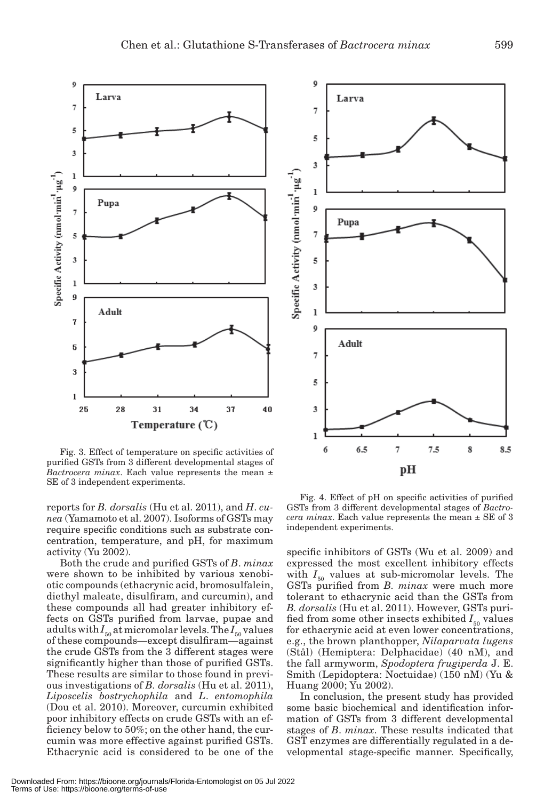

Fig. 3. Effect of temperature on specific activities of purified GSTs from 3 different developmental stages of *Bactrocera minax*. Each value represents the mean ± SE of 3 independent experiments.

reports for *B. dorsalis* (Hu et al. 2011), and *H*. *cunea* (Yamamoto et al. 2007). Isoforms of GSTs may require specific conditions such as substrate concentration, temperature, and pH, for maximum activity (Yu 2002).

Both the crude and purified GSTs of *B*. *minax* were shown to be inhibited by various xenobiotic compounds (ethacrynic acid, bromosulfalein, diethyl maleate, disulfiram, and curcumin), and these compounds all had greater inhibitory effects on GSTs purified from larvae, pupae and adults with  $I_{50}$  at micromolar levels. The  $I_{50}$  values of these compounds—except disulfiram—against the crude GSTs from the 3 different stages were significantly higher than those of purified GSTs. These results are similar to those found in previous investigations of *B. dorsalis* (Hu et al. 2011), *Liposcelis bostrychophila* and *L*. *entomophila* (Dou et al. 2010). Moreover, curcumin exhibited poor inhibitory effects on crude GSTs with an efficiency below to 50%; on the other hand, the curcumin was more effective against purified GSTs. Ethacrynic acid is considered to be one of the



Fig. 4. Effect of pH on specific activities of purified GSTs from 3 different developmental stages of *Bactrocera minax*. Each value represents the mean ± SE of 3 independent experiments.

specific inhibitors of GSTs (Wu et al. 2009) and expressed the most excellent inhibitory effects with  $I_{50}$  values at sub-micromolar levels. The GSTs purified from *B. minax* were much more tolerant to ethacrynic acid than the GSTs from *B. dorsalis* (Hu et al. 2011). However, GSTs purified from some other insects exhibited  $I_{50}$  values for ethacrynic acid at even lower concentrations, e.g., the brown planthopper, *Nilaparvata lugens* (Stål) (Hemiptera: Delphacidae) (40 nM), and the fall armyworm, *Spodoptera frugiperda* J. E. Smith (Lepidoptera: Noctuidae) (150 nM) (Yu & Huang 2000; Yu 2002).

In conclusion, the present study has provided some basic biochemical and identification information of GSTs from 3 different developmental stages of *B*. *minax*. These results indicated that GST enzymes are differentially regulated in a developmental stage-specific manner. Specifically,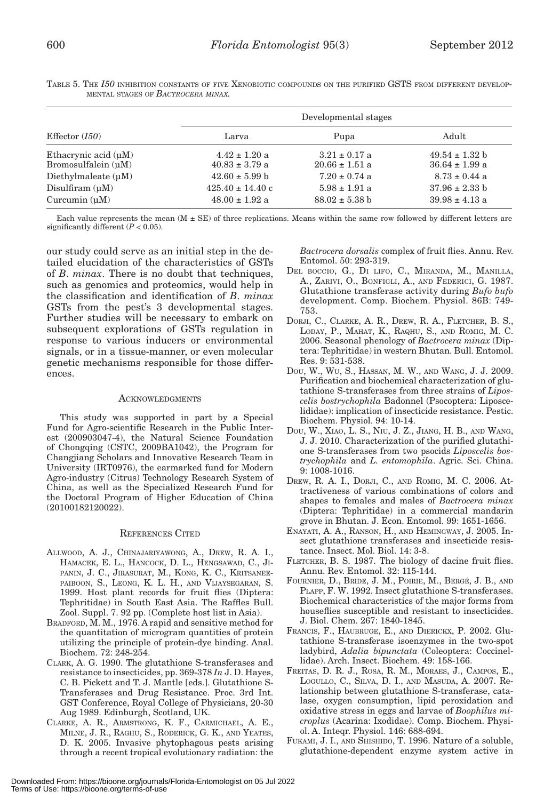| Effector $(I50)$                                   |                                         | Developmental stages                    |                                          |
|----------------------------------------------------|-----------------------------------------|-----------------------------------------|------------------------------------------|
|                                                    | Larva                                   | Pupa                                    | Adult                                    |
| Ethacrynic acid $(\mu M)$<br>Bromosulfalein $(uM)$ | $4.42 \pm 1.20$ a<br>$40.83 \pm 3.79$ a | $3.21 \pm 0.17$ a<br>$20.66 \pm 1.51$ a | $49.54 \pm 1.32$ b<br>$36.64 \pm 1.99$ a |
| Diethylmaleate $(uM)$                              | $42.60 \pm 5.99$ b                      | $7.20 \pm 0.74$ a                       | $8.73 \pm 0.44$ a                        |
| Disulfiram $(uM)$                                  | $425.40 \pm 14.40$ c                    | $5.98 \pm 1.91$ a                       | $37.96 \pm 2.33$ b                       |
| Curcumin $(uM)$                                    | $48.00 \pm 1.92$ a                      | $88.02 \pm 5.38$ b                      | $39.98 \pm 4.13$ a                       |

TABLE 5. THE *I50* INHIBITION CONSTANTS OF FIVE XENOBIOTIC COMPOUNDS ON THE PURIFIED GSTS FROM DIFFERENT DEVELOP-MENTAL STAGES OF *BACTROCERA MINAX.*

Each value represents the mean  $(M \pm SE)$  of three replications. Means within the same row followed by different letters are significantly different  $(P < 0.05)$ .

our study could serve as an initial step in the detailed elucidation of the characteristics of GSTs of *B*. *minax*. There is no doubt that techniques, such as genomics and proteomics, would help in the classification and identification of *B*. *minax* GSTs from the pest's 3 developmental stages. Further studies will be necessary to embark on subsequent explorations of GSTs regulation in response to various inducers or environmental signals, or in a tissue-manner, or even molecular genetic mechanisms responsible for those differences.

# ACKNOWLEDGMENTS

This study was supported in part by a Special Fund for Agro-scientific Research in the Public Interest (200903047-4), the Natural Science Foundation of Chongqing (CSTC, 2009BA1042), the Program for Changjiang Scholars and Innovative Research Team in University (IRT0976), the earmarked fund for Modern Agro-industry (Citrus) Technology Research System of China, as well as the Specialized Research Fund for the Doctoral Program of Higher Education of China (20100182120022).

#### REFERENCES CITED

- ALLWOOD, A. J., CHINAJARIYAWONG, A., DREW, R. A. I., HAMACEK, E. L., HANCOCK, D. L., HENGSAWAD, C., JI-PANIN, J. C., JIRASURAT, M., KONG, K. C., KRITSANEE-PAIBOON, S., LEONG, K. L. H., AND VIJAYSEGARAN, S. 1999. Host plant records for fruit flies (Diptera: Tephritidae) in South East Asia. The Raffles Bull. Zool. Suppl. 7. 92 pp. (Complete host list in Asia).
- BRADFORD, M. M., 1976. A rapid and sensitive method for the quantitation of microgram quantities of protein utilizing the principle of protein-dye binding. Anal. Biochem. 72: 248-254.
- CLARK, A. G. 1990. The glutathione S-transferases and resistance to insecticides, pp. 369-378 *In* J. D. Hayes, C. B. Pickett and T. J. Mantle [eds.]. Glutathione S-Transferases and Drug Resistance. Proc. 3rd Int. GST Conference, Royal College of Physicians, 20-30 Aug 1989. Edinburgh, Scotland, UK.
- CLARKE, A. R., ARMSTRONG, K. F., CARMICHAEL, A. E., MILNE, J. R., RAGHU, S., RODERICK, G. K., AND YEATES, D. K. 2005. Invasive phytophagous pests arising through a recent tropical evolutionary radiation: the

*Bactrocera dorsalis* complex of fruit flies. Annu. Rev. Entomol. 50: 293-319.

- DEL BOCCIO, G., DI LIFO, C., MIRANDA, M., MANILLA, A., ZARIVI, O., BONFIGLI, A., AND FEDERICI, G. 1987. Glutathione transferase activity during *Bufo bufo* development. Comp. Biochem. Physiol. 86B: 749- 753.
- DORJI, C., CLARKE, A. R., DREW, R. A., FLETCHER, B. S., LODAY, P., MAHAT, K., RAQHU, S., AND ROMIG, M. C. 2006. Seasonal phenology of *Bactrocera minax* (Diptera: Tephritidae) in western Bhutan. Bull. Entomol. Res. 9: 531-538.
- DOU, W., WU, S., HASSAN, M. W., AND WANG, J. J. 2009. Purification and biochemical characterization of glutathione S-transferases from three strains of *Liposcelis bostrychophila* Badonnel (Psocoptera: Liposcelididae): implication of insecticide resistance. Pestic. Biochem. Physiol. 94: 10-14.
- DOU, W., XIAO, L. S., NIU, J. Z., JIANG, H. B., AND WANG, J. J. 2010. Characterization of the purified glutathione S-transferases from two psocids *Liposcelis bostrychophila* and *L. entomophila*. Agric. Sci. China. 9: 1008-1016.
- DREW, R. A. I., DORJI, C., AND ROMIG, M. C. 2006. Attractiveness of various combinations of colors and shapes to females and males of *Bactrocera minax* (Diptera: Tephritidae) in a commercial mandarin grove in Bhutan. J. Econ. Entomol. 99: 1651-1656.
- ENAYATI, A. A., RANSON, H., AND HEMINGWAY, J. 2005. Insect glutathione transferases and insecticide resistance. Insect. Mol. Biol. 14: 3-8.
- FLETCHER, B. S. 1987. The biology of dacine fruit flies. Annu. Rev. Entomol. 32: 115-144.
- FOURNIER, D., BRIDE, J. M., POIRIE, M., BERGÉ, J. B., AND PLAPP, F. W. 1992. Insect glutathione S-transferases. Biochemical characteristics of the major forms from houseflies susceptible and resistant to insecticides. J. Biol. Chem. 267: 1840-1845.
- FRANCIS, F., HAUBRUGE, E., AND DIERICKX, P. 2002. Glutathione S-transferase isoenzymes in the two-spot ladybird, *Adalia bipunctata* (Coleoptera: Coccinellidae). Arch. Insect. Biochem. 49: 158-166.
- FREITAS, D. R. J., ROSA, R. M., MORAES, J., CAMPOS, E., LOGULLO, C., SILVA, D. I., AND MASUDA, A. 2007. Relationship between glutathione S-transferase, catalase, oxygen consumption, lipid peroxidation and oxidative stress in eggs and larvae of *Boophilus microplus* (Acarina: Ixodidae). Comp. Biochem. Physiol. A. Inteqr. Physiol. 146: 688-694.
- FUKAMI, J. I., AND SHISHIDO, T. 1996. Nature of a soluble, glutathione-dependent enzyme system active in